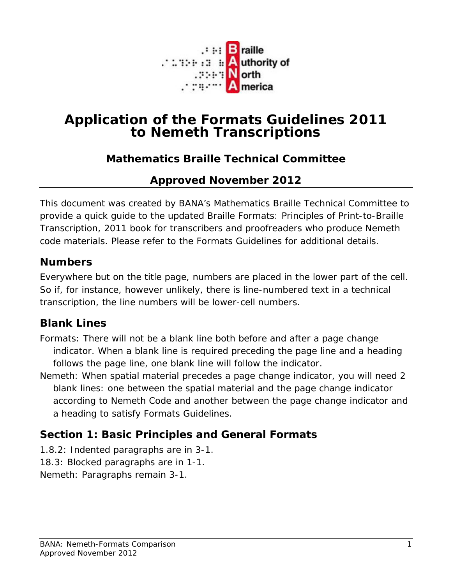

# **Application of the Formats Guidelines 2011 to Nemeth Transcriptions**

# **Mathematics Braille Technical Committee**

## **Approved November 2012**

This document was created by BANA's Mathematics Braille Technical Committee to provide a quick guide to the updated *Braille Formats: Principles of Print-to-Braille Transcription, 2011* book for transcribers and proofreaders who produce Nemeth code materials. Please refer to the Formats Guidelines for additional details.

### **Numbers**

Everywhere but on the title page, numbers are placed in the lower part of the cell. So if, for instance, however unlikely, there is line-numbered text in a technical transcription, the line numbers will be lower-cell numbers.

### **Blank Lines**

- Formats: There will not be a blank line both before and after a page change indicator. When a blank line is required preceding the page line and a heading follows the page line, one blank line will follow the indicator.
- *Nemeth: When spatial material precedes a page change indicator, you will need 2 blank lines: one between the spatial material and the page change indicator according to Nemeth Code and another between the page change indicator and a heading to satisfy Formats Guidelines.*

# **Section 1: Basic Principles and General Formats**

- 1.8.2: Indented paragraphs are in 3-1.
- 18.3: Blocked paragraphs are in 1-1.
- *Nemeth: Paragraphs remain 3-1.*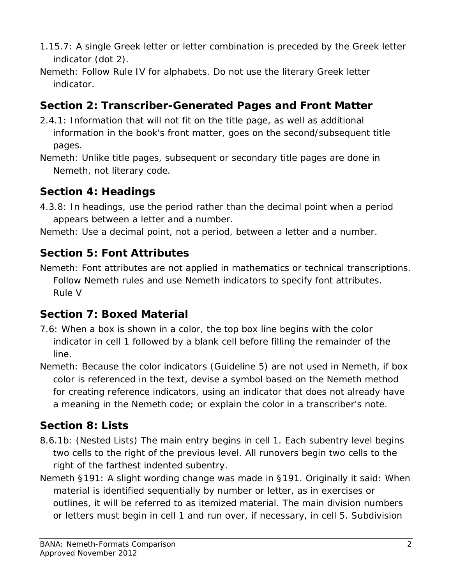- 1.15.7: A single Greek letter or letter combination is preceded by the Greek letter indicator (dot 2).
- *Nemeth: Follow Rule IV for alphabets. Do not use the literary Greek letter indicator.*

# **Section 2: Transcriber-Generated Pages and Front Matter**

- 2.4.1: Information that will not fit on the title page, as well as additional information in the book's front matter, goes on the second/subsequent title pages.
- *Nemeth: Unlike title pages, subsequent or secondary title pages are done in Nemeth, not literary code.*

## **Section 4: Headings**

- 4.3.8: In headings, use the period rather than the decimal point when a period appears between a letter and a number.
- *Nemeth: Use a decimal point, not a period, between a letter and a number.*

# **Section 5: Font Attributes**

*Nemeth: Font attributes are not applied in mathematics or technical transcriptions. Follow Nemeth rules and use Nemeth indicators to specify font attributes. Rule V* 

### **Section 7: Boxed Material**

- 7.6: When a box is shown in a color, the top box line begins with the color indicator in cell 1 followed by a blank cell before filling the remainder of the line.
- *Nemeth: Because the color indicators (Guideline 5) are not used in Nemeth, if box color is referenced in the text, devise a symbol based on the Nemeth method for creating reference indicators, using an indicator that does not already have a meaning in the Nemeth code; or explain the color in a transcriber's note.*

# **Section 8: Lists**

- 8.6.1b: (Nested Lists) The main entry begins in cell 1. Each subentry level begins two cells to the right of the previous level. All runovers begin two cells to the right of the farthest indented subentry.
- *Nemeth §191:* A slight wording change was made in §191. Originally it said: *When material is identified sequentially by number or letter, as in exercises* or outlines*, it will be referred to as itemized material. The main division numbers or letters must begin in cell 1 and run over, if necessary, in cell 5. Subdivision*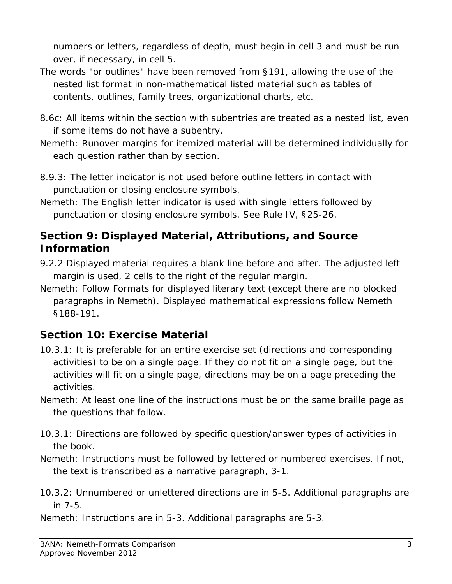*numbers or letters, regardless of depth, must begin in cell 3 and must be run over, if necessary, in cell 5.*

- *The words "or outlines" have been removed from §191, allowing the use of the nested list format in non-mathematical listed material such as tables of contents, outlines, family trees, organizational charts, etc.*
- 8.6c: All items within the section with subentries are treated as a nested list, even if some items do not have a subentry.
- *Nemeth: Runover margins for itemized material will be determined individually for each question rather than by section.*
- 8.9.3: The letter indicator is not used before outline letters in contact with punctuation or closing enclosure symbols.
- *Nemeth: The English letter indicator is used with single letters followed by punctuation or closing enclosure symbols. See Rule IV, §25-26.*

## **Section 9: Displayed Material, Attributions, and Source Information**

- 9.2.2 Displayed material requires a blank line before and after. The adjusted left margin is used, 2 cells to the right of the regular margin.
- *Nemeth: Follow Formats for displayed literary text (except there are no blocked paragraphs in Nemeth). Displayed mathematical expressions follow Nemeth §188-191.*

### **Section 10: Exercise Material**

- 10.3.1: It is preferable for an entire exercise set (directions and corresponding activities) to be on a single page. If they do not fit on a single page, but the activities will fit on a single page, directions may be on a page preceding the activities.
- *Nemeth: At least one line of the instructions must be on the same braille page as the questions that follow.*
- 10.3.1: Directions are followed by specific question/answer types of activities in the book.
- *Nemeth: Instructions must be followed by lettered or numbered exercises. If not, the text is transcribed as a narrative paragraph, 3-1.*
- 10.3.2: Unnumbered or unlettered directions are in 5-5. Additional paragraphs are in 7-5.
- *Nemeth: Instructions are in 5-3. Additional paragraphs are 5-3.*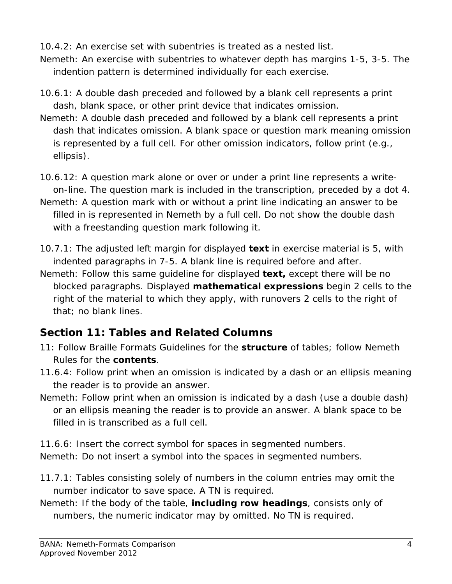10.4.2: An exercise set with subentries is treated as a nested list. *Nemeth: An exercise with subentries to whatever depth has margins 1-5, 3-5. The indention pattern is determined individually for each exercise.*

- 10.6.1: A double dash preceded and followed by a blank cell represents a print dash, blank space, or other print device that indicates omission.
- *Nemeth: A double dash preceded and followed by a blank cell represents a print dash that indicates omission. A blank space or question mark meaning omission is represented by a full cell. For other omission indicators, follow print (e.g., ellipsis).*
- 10.6.12: A question mark alone or over or under a print line represents a writeon-line. The question mark is included in the transcription, preceded by a dot 4.
- *Nemeth: A question mark with or without a print line indicating an answer to be filled in is represented in Nemeth by a full cell. Do not show the double dash with a freestanding question mark following it.*
- 10.7.1: The adjusted left margin for displayed *text* in exercise material is 5, with indented paragraphs in 7-5. A blank line is required before and after.
- *Nemeth: Follow this same guideline for displayed text, except there will be no blocked paragraphs. Displayed mathematical expressions begin 2 cells to the right of the material to which they apply, with runovers 2 cells to the right of that; no blank lines.*

# **Section 11: Tables and Related Columns**

- 11: Follow Braille Formats Guidelines for the **structure** of tables; follow Nemeth Rules for the **contents**.
- 11.6.4: Follow print when an omission is indicated by a dash or an ellipsis meaning the reader is to provide an answer.
- *Nemeth: Follow print when an omission is indicated by a dash (use a double dash) or an ellipsis meaning the reader is to provide an answer. A blank space to be filled in is transcribed as a full cell.*

11.6.6: Insert the correct symbol for spaces in segmented numbers. *Nemeth: Do not insert a symbol into the spaces in segmented numbers.*

- 11.7.1: Tables consisting solely of numbers in the column entries may omit the number indicator to save space. A TN is required.
- *Nemeth: If the body of the table, including row headings, consists only of numbers, the numeric indicator may by omitted. No TN is required.*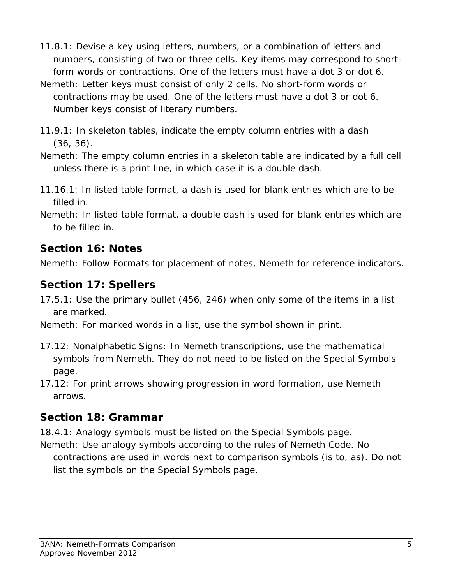- 11.8.1: Devise a key using letters, numbers, or a combination of letters and numbers, consisting of two or three cells. Key items may correspond to shortform words or contractions. One of the letters must have a dot 3 or dot 6.
- *Nemeth: Letter keys must consist of only 2 cells. No short-form words or contractions may be used. One of the letters must have a dot 3 or dot 6. Number keys consist of literary numbers.*
- 11.9.1: In skeleton tables, indicate the empty column entries with a dash (36, 36).
- *Nemeth: The empty column entries in a skeleton table are indicated by a full cell unless there is a print line, in which case it is a double dash.*
- 11.16.1: In listed table format, a dash is used for blank entries which are to be filled in.
- *Nemeth: In listed table format, a double dash is used for blank entries which are to be filled in.*

# **Section 16: Notes**

*Nemeth: Follow Formats for placement of notes, Nemeth for reference indicators.*

# **Section 17: Spellers**

- 17.5.1: Use the primary bullet (456, 246) when only some of the items in a list are marked.
- *Nemeth: For marked words in a list, use the symbol shown in print.*
- 17.12: Nonalphabetic Signs: *In Nemeth transcriptions, use the mathematical symbols from Nemeth. They do not need to be listed on the Special Symbols page.*
- 17.12: *For print arrows showing progression in word formation, use Nemeth arrows.*

# **Section 18: Grammar**

18.4.1: Analogy symbols must be listed on the Special Symbols page. *Nemeth: Use analogy symbols according to the rules of Nemeth Code. No contractions are used in words next to comparison symbols (is to, as). Do not list the symbols on the Special Symbols page*.